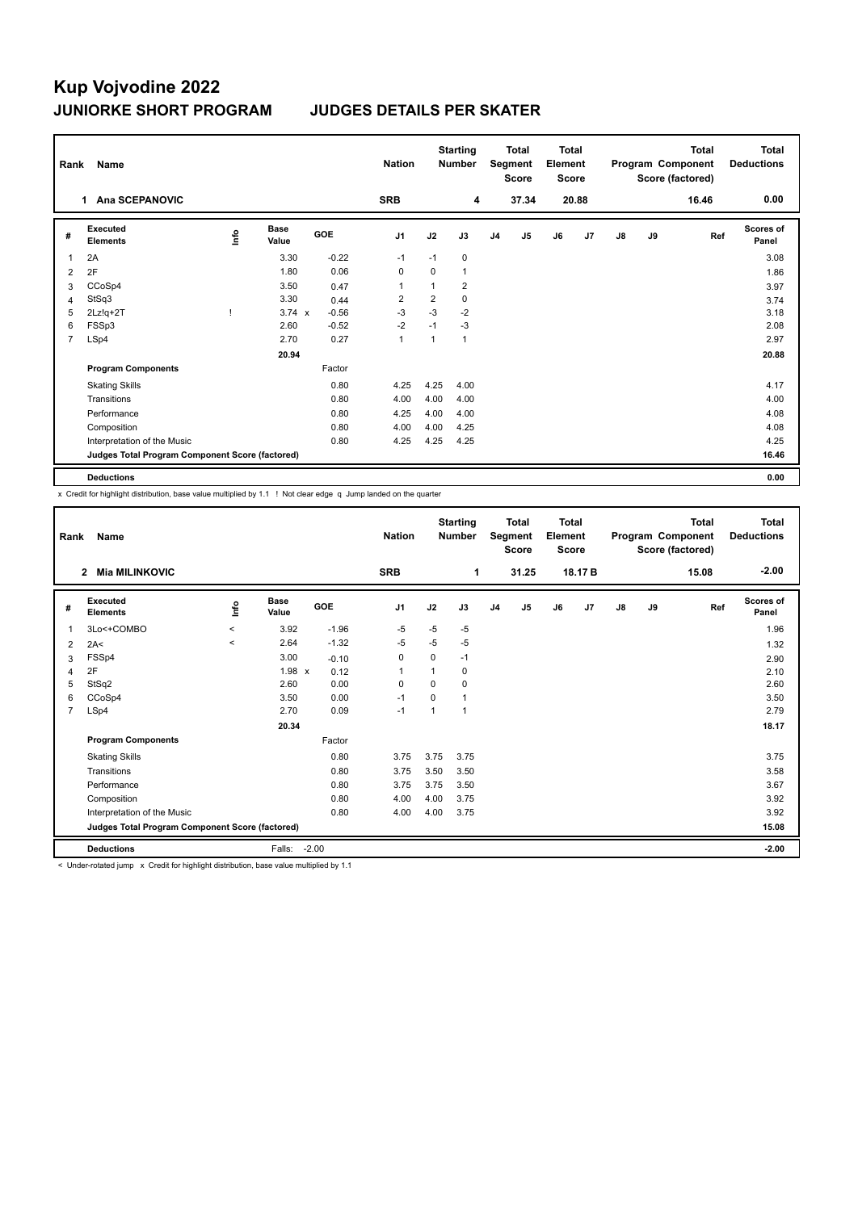## **Kup Vojvodine 2022 JUNIORKE SHORT PROGRAM JUDGES DETAILS PER SKATER**

| Rank                                                     | <b>Name</b>                 |            |                      |         | <b>Nation</b>  | <b>Starting</b><br><b>Number</b> |      | <b>Total</b><br>Segment<br><b>Score</b> |                | <b>Total</b><br>Element<br><b>Score</b> |                | Program Component |    | <b>Total</b><br>Score (factored) | <b>Total</b><br><b>Deductions</b> |
|----------------------------------------------------------|-----------------------------|------------|----------------------|---------|----------------|----------------------------------|------|-----------------------------------------|----------------|-----------------------------------------|----------------|-------------------|----|----------------------------------|-----------------------------------|
|                                                          | Ana SCEPANOVIC<br>1         |            |                      |         | <b>SRB</b>     |                                  | 4    |                                         | 37.34          |                                         | 20.88          |                   |    | 16.46                            | 0.00                              |
| #                                                        | Executed<br><b>Elements</b> | <b>Lin</b> | <b>Base</b><br>Value | GOE     | J <sub>1</sub> | J2                               | J3   | J <sub>4</sub>                          | J <sub>5</sub> | J6                                      | J <sub>7</sub> | J8                | J9 | Ref                              | <b>Scores of</b><br>Panel         |
| 1                                                        | 2A                          |            | 3.30                 | $-0.22$ | $-1$           | $-1$                             | 0    |                                         |                |                                         |                |                   |    |                                  | 3.08                              |
| 2                                                        | 2F                          |            | 1.80                 | 0.06    | $\mathbf 0$    | $\mathbf 0$                      | 1    |                                         |                |                                         |                |                   |    |                                  | 1.86                              |
| 3                                                        | CCoSp4                      |            | 3.50                 | 0.47    | $\overline{1}$ | 1                                | 2    |                                         |                |                                         |                |                   |    |                                  | 3.97                              |
| $\overline{4}$                                           | StSq3                       |            | 3.30                 | 0.44    | $\overline{2}$ | $\overline{2}$                   | 0    |                                         |                |                                         |                |                   |    |                                  | 3.74                              |
| 5                                                        | $2Lz!q+2T$                  |            | $3.74 \times$        | $-0.56$ | $-3$           | $-3$                             | $-2$ |                                         |                |                                         |                |                   |    |                                  | 3.18                              |
| 6                                                        | FSSp3                       |            | 2.60                 | $-0.52$ | $-2$           | $-1$                             | $-3$ |                                         |                |                                         |                |                   |    |                                  | 2.08                              |
| $\overline{7}$                                           | LSp4                        |            | 2.70                 | 0.27    | $\mathbf{1}$   | $\mathbf{1}$                     | 1    |                                         |                |                                         |                |                   |    |                                  | 2.97                              |
|                                                          |                             |            | 20.94                |         |                |                                  |      |                                         |                |                                         |                |                   |    |                                  | 20.88                             |
|                                                          | <b>Program Components</b>   |            |                      | Factor  |                |                                  |      |                                         |                |                                         |                |                   |    |                                  |                                   |
|                                                          | <b>Skating Skills</b>       |            |                      | 0.80    | 4.25           | 4.25                             | 4.00 |                                         |                |                                         |                |                   |    |                                  | 4.17                              |
|                                                          | Transitions                 |            |                      | 0.80    | 4.00           | 4.00                             | 4.00 |                                         |                |                                         |                |                   |    |                                  | 4.00                              |
|                                                          | Performance                 |            |                      | 0.80    | 4.25           | 4.00                             | 4.00 |                                         |                |                                         |                |                   |    |                                  | 4.08                              |
|                                                          | Composition                 |            |                      | 0.80    | 4.00           | 4.00                             | 4.25 |                                         |                |                                         |                |                   |    |                                  | 4.08                              |
|                                                          | Interpretation of the Music |            |                      | 0.80    | 4.25           | 4.25                             | 4.25 |                                         |                |                                         |                |                   |    |                                  | 4.25                              |
| Judges Total Program Component Score (factored)<br>16.46 |                             |            |                      |         |                |                                  |      |                                         |                |                                         |                |                   |    |                                  |                                   |
|                                                          | <b>Deductions</b>           |            |                      |         |                |                                  |      |                                         |                |                                         |                |                   |    |                                  | 0.00                              |

x Credit for highlight distribution, base value multiplied by 1.1 ! Not clear edge q Jump landed on the quarter

|                                                 | Name<br>Rank                            |         |                      |            | <b>Nation</b>  | <b>Starting</b><br><b>Number</b> |      | <b>Total</b><br><b>Total</b><br>Segment<br>Element<br><b>Score</b><br><b>Score</b> |                |    | <b>Total</b><br>Program Component<br>Score (factored) |               |       | Total<br><b>Deductions</b> |                    |
|-------------------------------------------------|-----------------------------------------|---------|----------------------|------------|----------------|----------------------------------|------|------------------------------------------------------------------------------------|----------------|----|-------------------------------------------------------|---------------|-------|----------------------------|--------------------|
|                                                 | <b>Mia MILINKOVIC</b><br>$\overline{2}$ |         |                      |            | <b>SRB</b>     |                                  | 1    |                                                                                    | 31.25          |    | 18.17 B                                               |               |       | 15.08                      | $-2.00$            |
| #                                               | Executed<br><b>Elements</b>             | lnfo    | <b>Base</b><br>Value | <b>GOE</b> | J <sub>1</sub> | J2                               | J3   | J <sub>4</sub>                                                                     | J <sub>5</sub> | J6 | J <sub>7</sub>                                        | $\mathsf{J}8$ | J9    | Ref                        | Scores of<br>Panel |
| $\mathbf{1}$                                    | 3Lo<+COMBO                              | $\prec$ | 3.92                 | $-1.96$    | $-5$           | $-5$                             | $-5$ |                                                                                    |                |    |                                                       |               |       |                            | 1.96               |
| 2                                               | 2A<                                     | $\prec$ | 2.64                 | $-1.32$    | $-5$           | $-5$                             | $-5$ |                                                                                    |                |    |                                                       |               |       |                            | 1.32               |
| 3                                               | FSSp4                                   |         | 3.00                 | $-0.10$    | 0              | 0                                | $-1$ |                                                                                    |                |    |                                                       |               |       |                            | 2.90               |
| 4                                               | 2F                                      |         | 1.98 x               | 0.12       | $\overline{1}$ | 1                                | 0    |                                                                                    |                |    |                                                       |               |       |                            | 2.10               |
| 5                                               | StSq2                                   |         | 2.60                 | 0.00       | 0              | $\Omega$                         | 0    |                                                                                    |                |    |                                                       |               |       |                            | 2.60               |
| 6                                               | CCoSp4                                  |         | 3.50                 | 0.00       | $-1$           | $\Omega$                         | 1    |                                                                                    |                |    |                                                       |               |       |                            | 3.50               |
| $\overline{7}$                                  | LSp4                                    |         | 2.70                 | 0.09       | $-1$           | 1                                | 1    |                                                                                    |                |    |                                                       |               |       |                            | 2.79               |
|                                                 |                                         |         | 20.34                |            |                |                                  |      |                                                                                    |                |    |                                                       |               |       |                            | 18.17              |
|                                                 | <b>Program Components</b>               |         |                      | Factor     |                |                                  |      |                                                                                    |                |    |                                                       |               |       |                            |                    |
|                                                 | <b>Skating Skills</b>                   |         |                      | 0.80       | 3.75           | 3.75                             | 3.75 |                                                                                    |                |    |                                                       |               |       |                            | 3.75               |
|                                                 | Transitions                             |         |                      | 0.80       | 3.75           | 3.50                             | 3.50 |                                                                                    |                |    |                                                       |               |       |                            | 3.58               |
|                                                 | Performance                             |         |                      | 0.80       | 3.75           | 3.75                             | 3.50 |                                                                                    |                |    |                                                       |               |       |                            | 3.67               |
|                                                 | Composition                             |         |                      | 0.80       | 4.00           | 4.00                             | 3.75 |                                                                                    |                |    |                                                       |               |       |                            | 3.92               |
|                                                 | Interpretation of the Music             |         |                      | 0.80       | 4.00           | 4.00                             | 3.75 |                                                                                    |                |    |                                                       |               |       |                            | 3.92               |
| Judges Total Program Component Score (factored) |                                         |         |                      |            |                |                                  |      |                                                                                    |                |    |                                                       |               | 15.08 |                            |                    |
|                                                 | <b>Deductions</b>                       |         | Falls:               | $-2.00$    |                |                                  |      |                                                                                    |                |    |                                                       |               |       |                            | $-2.00$            |

< Under-rotated jump x Credit for highlight distribution, base value multiplied by 1.1